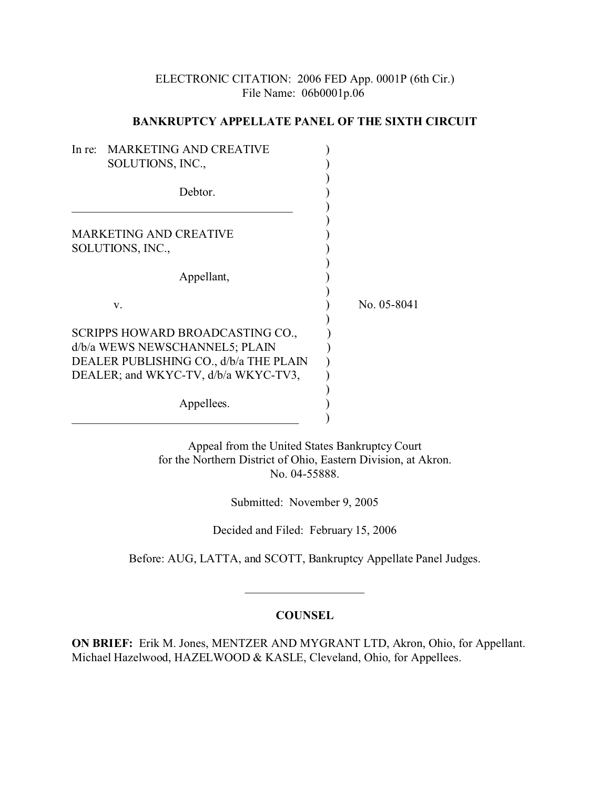## ELECTRONIC CITATION: 2006 FED App. 0001P (6th Cir.) File Name: 06b0001p.06

## **BANKRUPTCY APPELLATE PANEL OF THE SIXTH CIRCUIT**

| In re:                                 | <b>MARKETING AND CREATIVE</b>        |             |
|----------------------------------------|--------------------------------------|-------------|
|                                        | SOLUTIONS, INC.,                     |             |
|                                        |                                      |             |
|                                        | Debtor.                              |             |
|                                        |                                      |             |
|                                        | <b>MARKETING AND CREATIVE</b>        |             |
| SOLUTIONS, INC.,                       |                                      |             |
|                                        |                                      |             |
|                                        | Appellant,                           |             |
|                                        |                                      |             |
|                                        | V.                                   | No. 05-8041 |
|                                        | SCRIPPS HOWARD BROADCASTING CO.,     |             |
| d/b/a WEWS NEWSCHANNEL5; PLAIN         |                                      |             |
| DEALER PUBLISHING CO., d/b/a THE PLAIN |                                      |             |
|                                        | DEALER; and WKYC-TV, d/b/a WKYC-TV3, |             |
|                                        |                                      |             |
|                                        | Appellees.                           |             |
|                                        |                                      |             |

Appeal from the United States Bankruptcy Court for the Northern District of Ohio, Eastern Division, at Akron. No. 04-55888.

Submitted: November 9, 2005

Decided and Filed: February 15, 2006

Before: AUG, LATTA, and SCOTT, Bankruptcy Appellate Panel Judges.

\_\_\_\_\_\_\_\_\_\_\_\_\_\_\_\_\_\_\_\_

## **COUNSEL**

**ON BRIEF:** Erik M. Jones, MENTZER AND MYGRANT LTD, Akron, Ohio, for Appellant. Michael Hazelwood, HAZELWOOD & KASLE, Cleveland, Ohio, for Appellees.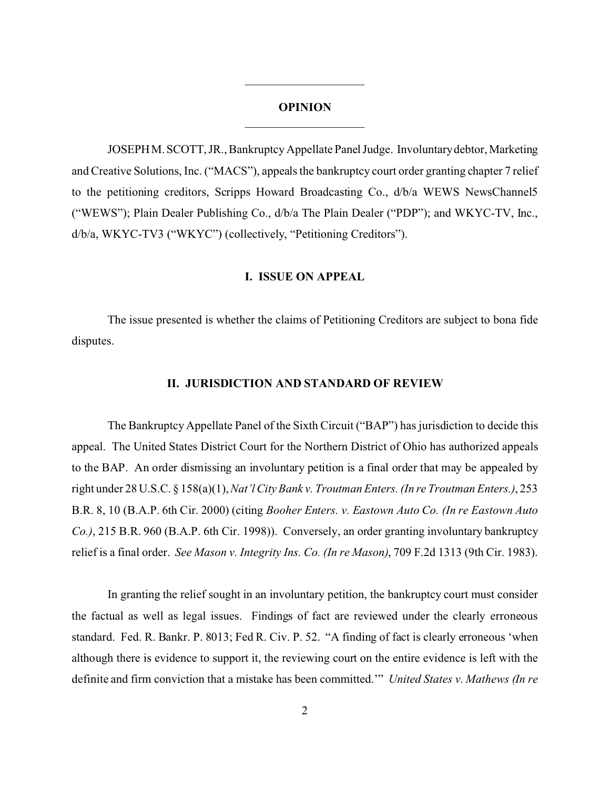#### **OPINION**

\_\_\_\_\_\_\_\_\_\_\_\_\_\_\_\_\_\_\_\_

JOSEPHM.SCOTT, JR., Bankruptcy Appellate Panel Judge. Involuntary debtor, Marketing and Creative Solutions, Inc. ("MACS"), appeals the bankruptcy court order granting chapter 7 relief to the petitioning creditors, Scripps Howard Broadcasting Co., d/b/a WEWS NewsChannel5 ("WEWS"); Plain Dealer Publishing Co., d/b/a The Plain Dealer ("PDP"); and WKYC-TV, Inc., d/b/a, WKYC-TV3 ("WKYC") (collectively, "Petitioning Creditors").

#### **I. ISSUE ON APPEAL**

The issue presented is whether the claims of Petitioning Creditors are subject to bona fide disputes.

#### **II. JURISDICTION AND STANDARD OF REVIEW**

The Bankruptcy Appellate Panel of the Sixth Circuit ("BAP") has jurisdiction to decide this appeal. The United States District Court for the Northern District of Ohio has authorized appeals to the BAP. An order dismissing an involuntary petition is a final order that may be appealed by right under 28 U.S.C. § 158(a)(1), *Nat'l City Bank v. Troutman Enters. (In re Troutman Enters.)*, 253 B.R. 8, 10 (B.A.P. 6th Cir. 2000) (citing *Booher Enters. v. Eastown Auto Co. (In re Eastown Auto Co.)*, 215 B.R. 960 (B.A.P. 6th Cir. 1998)). Conversely, an order granting involuntary bankruptcy relief is a final order. *See Mason v. Integrity Ins. Co. (In re Mason)*, 709 F.2d 1313 (9th Cir. 1983).

In granting the relief sought in an involuntary petition, the bankruptcy court must consider the factual as well as legal issues. Findings of fact are reviewed under the clearly erroneous standard. Fed. R. Bankr. P. 8013; Fed R. Civ. P. 52. "A finding of fact is clearly erroneous 'when although there is evidence to support it, the reviewing court on the entire evidence is left with the definite and firm conviction that a mistake has been committed.'" *United States v. Mathews (In re*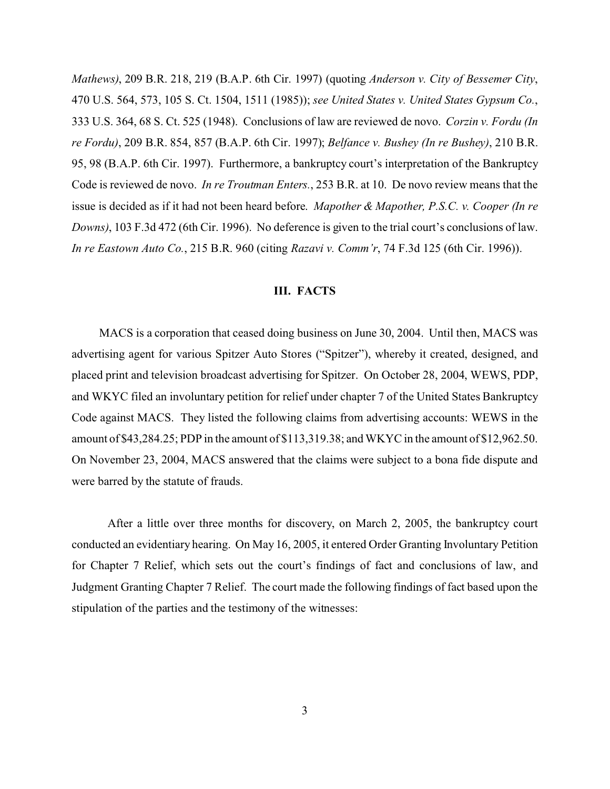*Mathews)*, 209 B.R. 218, 219 (B.A.P. 6th Cir. 1997) (quoting *Anderson v. City of Bessemer City*, 470 U.S. 564, 573, 105 S. Ct. 1504, 1511 (1985)); *see United States v. United States Gypsum Co.*, 333 U.S. 364, 68 S. Ct. 525 (1948). Conclusions of law are reviewed de novo. *Corzin v. Fordu (In re Fordu)*, 209 B.R. 854, 857 (B.A.P. 6th Cir. 1997); *Belfance v. Bushey (In re Bushey)*, 210 B.R. 95, 98 (B.A.P. 6th Cir. 1997). Furthermore, a bankruptcy court's interpretation of the Bankruptcy Code is reviewed de novo. *In re Troutman Enters.*, 253 B.R. at 10. De novo review means that the issue is decided as if it had not been heard before. *Mapother & Mapother, P.S.C. v. Cooper (In re Downs)*, 103 F.3d 472 (6th Cir. 1996). No deference is given to the trial court's conclusions of law. *In re Eastown Auto Co.*, 215 B.R. 960 (citing *Razavi v. Comm'r*, 74 F.3d 125 (6th Cir. 1996)).

### **III. FACTS**

 MACS is a corporation that ceased doing business on June 30, 2004. Until then, MACS was advertising agent for various Spitzer Auto Stores ("Spitzer"), whereby it created, designed, and placed print and television broadcast advertising for Spitzer. On October 28, 2004, WEWS, PDP, and WKYC filed an involuntary petition for relief under chapter 7 of the United States Bankruptcy Code against MACS. They listed the following claims from advertising accounts: WEWS in the amount of \$43,284.25; PDP in the amount of \$113,319.38; and WKYC in the amount of \$12,962.50. On November 23, 2004, MACS answered that the claims were subject to a bona fide dispute and were barred by the statute of frauds.

After a little over three months for discovery, on March 2, 2005, the bankruptcy court conducted an evidentiary hearing. On May 16, 2005, it entered Order Granting Involuntary Petition for Chapter 7 Relief, which sets out the court's findings of fact and conclusions of law, and Judgment Granting Chapter 7 Relief. The court made the following findings of fact based upon the stipulation of the parties and the testimony of the witnesses: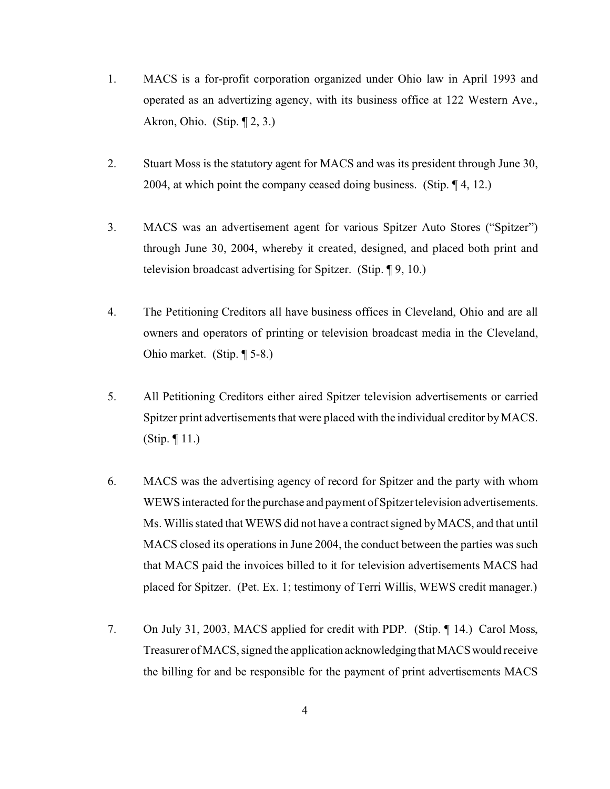- 1. MACS is a for-profit corporation organized under Ohio law in April 1993 and operated as an advertizing agency, with its business office at 122 Western Ave., Akron, Ohio. (Stip.  $\P$  2, 3.)
- 2. Stuart Moss is the statutory agent for MACS and was its president through June 30, 2004, at which point the company ceased doing business. (Stip. ¶ 4, 12.)
- 3. MACS was an advertisement agent for various Spitzer Auto Stores ("Spitzer") through June 30, 2004, whereby it created, designed, and placed both print and television broadcast advertising for Spitzer. (Stip. ¶ 9, 10.)
- 4. The Petitioning Creditors all have business offices in Cleveland, Ohio and are all owners and operators of printing or television broadcast media in the Cleveland, Ohio market. (Stip. ¶ 5-8.)
- 5. All Petitioning Creditors either aired Spitzer television advertisements or carried Spitzer print advertisements that were placed with the individual creditor by MACS. (Stip. ¶ 11.)
- 6. MACS was the advertising agency of record for Spitzer and the party with whom WEWS interacted for the purchase and payment of Spitzer television advertisements. Ms. Willis stated that WEWS did not have a contract signed by MACS, and that until MACS closed its operations in June 2004, the conduct between the parties was such that MACS paid the invoices billed to it for television advertisements MACS had placed for Spitzer. (Pet. Ex. 1; testimony of Terri Willis, WEWS credit manager.)
- 7. On July 31, 2003, MACS applied for credit with PDP. (Stip. ¶ 14.) Carol Moss, Treasurer of MACS, signed the application acknowledgingthatMACSwould receive the billing for and be responsible for the payment of print advertisements MACS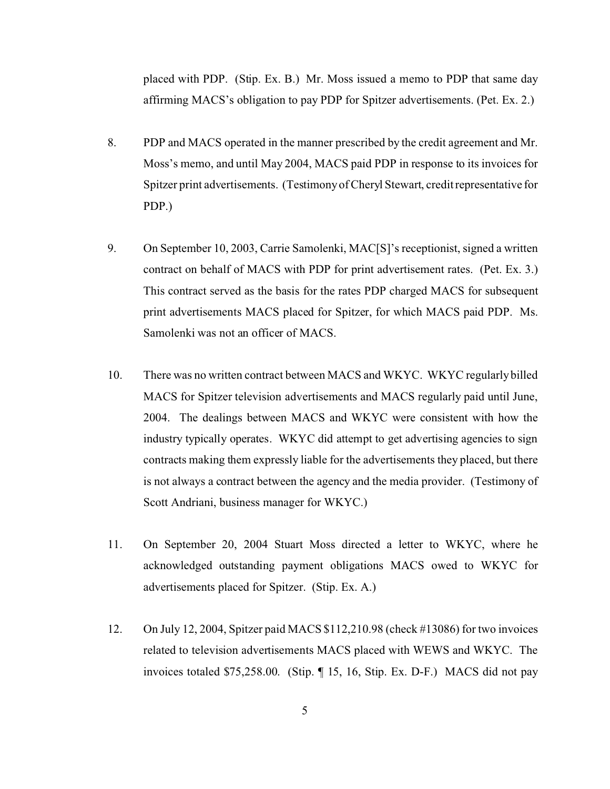placed with PDP. (Stip. Ex. B.) Mr. Moss issued a memo to PDP that same day affirming MACS's obligation to pay PDP for Spitzer advertisements. (Pet. Ex. 2.)

- 8. PDP and MACS operated in the manner prescribed by the credit agreement and Mr. Moss's memo, and until May 2004, MACS paid PDP in response to its invoices for Spitzer print advertisements. (Testimony of Cheryl Stewart, credit representative for PDP.)
- 9. On September 10, 2003, Carrie Samolenki, MAC[S]'s receptionist, signed a written contract on behalf of MACS with PDP for print advertisement rates. (Pet. Ex. 3.) This contract served as the basis for the rates PDP charged MACS for subsequent print advertisements MACS placed for Spitzer, for which MACS paid PDP. Ms. Samolenki was not an officer of MACS.
- 10. There was no written contract between MACS and WKYC. WKYC regularly billed MACS for Spitzer television advertisements and MACS regularly paid until June, 2004. The dealings between MACS and WKYC were consistent with how the industry typically operates. WKYC did attempt to get advertising agencies to sign contracts making them expressly liable for the advertisements they placed, but there is not always a contract between the agency and the media provider. (Testimony of Scott Andriani, business manager for WKYC.)
- 11. On September 20, 2004 Stuart Moss directed a letter to WKYC, where he acknowledged outstanding payment obligations MACS owed to WKYC for advertisements placed for Spitzer. (Stip. Ex. A.)
- 12. On July 12, 2004, Spitzer paid MACS \$112,210.98 (check #13086) for two invoices related to television advertisements MACS placed with WEWS and WKYC. The invoices totaled \$75,258.00. (Stip. ¶ 15, 16, Stip. Ex. D-F.) MACS did not pay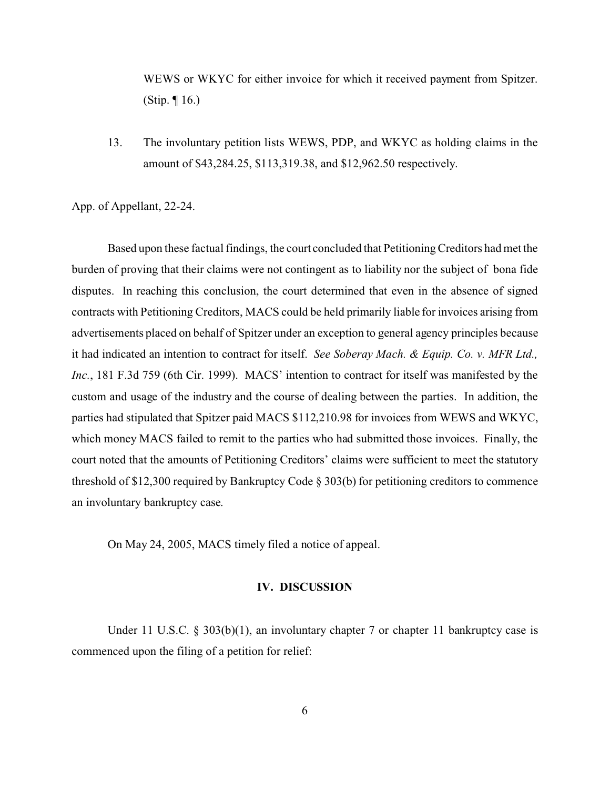WEWS or WKYC for either invoice for which it received payment from Spitzer. (Stip. ¶ 16.)

13. The involuntary petition lists WEWS, PDP, and WKYC as holding claims in the amount of \$43,284.25, \$113,319.38, and \$12,962.50 respectively.

App. of Appellant, 22-24.

Based upon these factual findings, the court concluded that Petitioning Creditors had met the burden of proving that their claims were not contingent as to liability nor the subject of bona fide disputes. In reaching this conclusion, the court determined that even in the absence of signed contracts with Petitioning Creditors, MACS could be held primarily liable for invoices arising from advertisements placed on behalf of Spitzer under an exception to general agency principles because it had indicated an intention to contract for itself. *See Soberay Mach. & Equip. Co. v. MFR Ltd., Inc.*, 181 F.3d 759 (6th Cir. 1999). MACS' intention to contract for itself was manifested by the custom and usage of the industry and the course of dealing between the parties. In addition, the parties had stipulated that Spitzer paid MACS \$112,210.98 for invoices from WEWS and WKYC, which money MACS failed to remit to the parties who had submitted those invoices. Finally, the court noted that the amounts of Petitioning Creditors' claims were sufficient to meet the statutory threshold of \$12,300 required by Bankruptcy Code § 303(b) for petitioning creditors to commence an involuntary bankruptcy case.

On May 24, 2005, MACS timely filed a notice of appeal.

#### **IV. DISCUSSION**

Under 11 U.S.C. § 303(b)(1), an involuntary chapter 7 or chapter 11 bankruptcy case is commenced upon the filing of a petition for relief: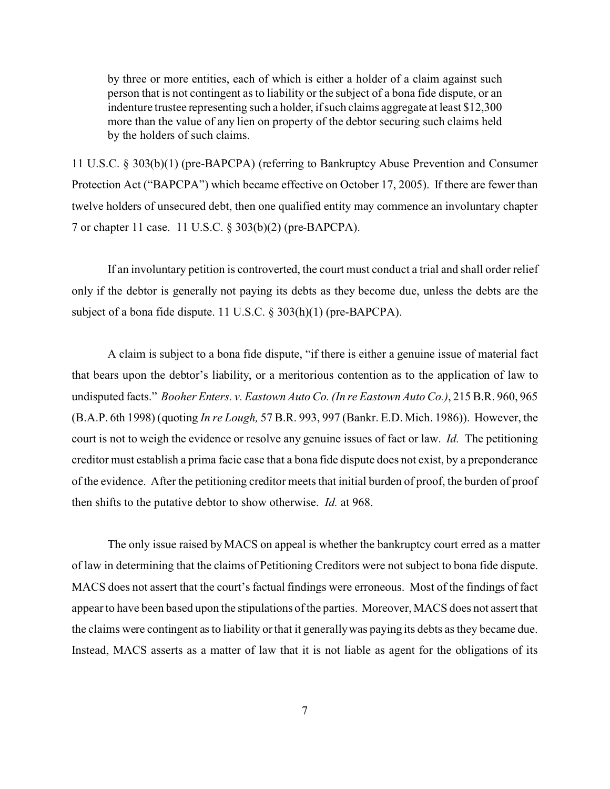by three or more entities, each of which is either a holder of a claim against such person that is not contingent as to liability or the subject of a bona fide dispute, or an indenture trustee representing such a holder, if such claims aggregate at least \$12,300 more than the value of any lien on property of the debtor securing such claims held by the holders of such claims.

11 U.S.C. § 303(b)(1) (pre-BAPCPA) (referring to Bankruptcy Abuse Prevention and Consumer Protection Act ("BAPCPA") which became effective on October 17, 2005). If there are fewer than twelve holders of unsecured debt, then one qualified entity may commence an involuntary chapter 7 or chapter 11 case. 11 U.S.C. § 303(b)(2) (pre-BAPCPA).

If an involuntary petition is controverted, the court must conduct a trial and shall order relief only if the debtor is generally not paying its debts as they become due, unless the debts are the subject of a bona fide dispute. 11 U.S.C. § 303(h)(1) (pre-BAPCPA).

A claim is subject to a bona fide dispute, "if there is either a genuine issue of material fact that bears upon the debtor's liability, or a meritorious contention as to the application of law to undisputed facts." *Booher Enters. v. Eastown Auto Co. (In re Eastown Auto Co.)*, 215 B.R. 960, 965 (B.A.P. 6th 1998) (quoting *In re Lough,* 57 B.R. 993, 997 (Bankr. E.D. Mich. 1986)). However, the court is not to weigh the evidence or resolve any genuine issues of fact or law. *Id.* The petitioning creditor must establish a prima facie case that a bona fide dispute does not exist, by a preponderance of the evidence. After the petitioning creditor meets that initial burden of proof, the burden of proof then shifts to the putative debtor to show otherwise. *Id.* at 968.

 The only issue raised by MACS on appeal is whether the bankruptcy court erred as a matter of law in determining that the claims of Petitioning Creditors were not subject to bona fide dispute. MACS does not assert that the court's factual findings were erroneous. Most of the findings of fact appear to have been based upon the stipulations of the parties. Moreover, MACS does not assert that the claims were contingent as to liability or that it generally was paying its debts as they became due. Instead, MACS asserts as a matter of law that it is not liable as agent for the obligations of its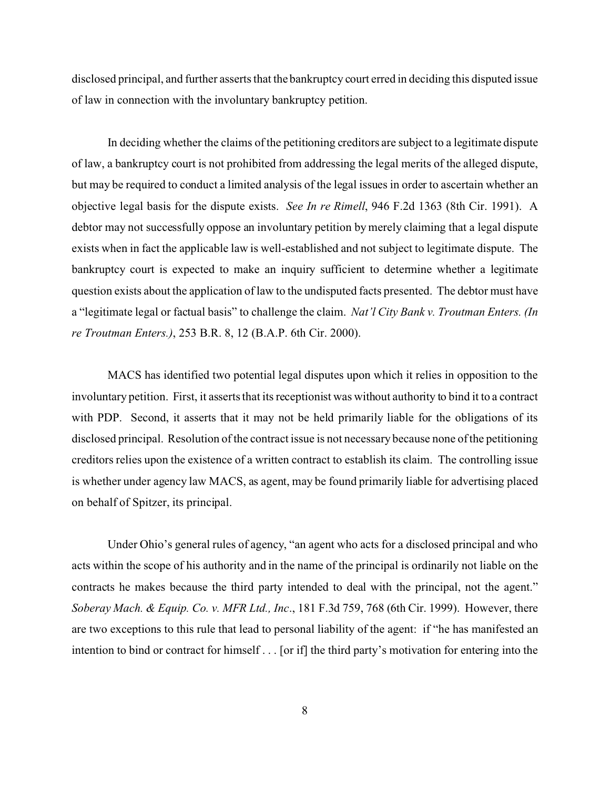disclosed principal, and further asserts that the bankruptcy court erred in deciding this disputed issue of law in connection with the involuntary bankruptcy petition.

In deciding whether the claims of the petitioning creditors are subject to a legitimate dispute of law, a bankruptcy court is not prohibited from addressing the legal merits of the alleged dispute, but may be required to conduct a limited analysis of the legal issues in order to ascertain whether an objective legal basis for the dispute exists. *See In re Rimell*, 946 F.2d 1363 (8th Cir. 1991). A debtor may not successfully oppose an involuntary petition by merely claiming that a legal dispute exists when in fact the applicable law is well-established and not subject to legitimate dispute. The bankruptcy court is expected to make an inquiry sufficient to determine whether a legitimate question exists about the application of law to the undisputed facts presented. The debtor must have a "legitimate legal or factual basis" to challenge the claim. *Nat'l City Bank v. Troutman Enters. (In re Troutman Enters.)*, 253 B.R. 8, 12 (B.A.P. 6th Cir. 2000).

MACS has identified two potential legal disputes upon which it relies in opposition to the involuntary petition. First, it asserts that its receptionist was without authority to bind it to a contract with PDP. Second, it asserts that it may not be held primarily liable for the obligations of its disclosed principal. Resolution of the contract issue is not necessary because none of the petitioning creditors relies upon the existence of a written contract to establish its claim. The controlling issue is whether under agency law MACS, as agent, may be found primarily liable for advertising placed on behalf of Spitzer, its principal.

Under Ohio's general rules of agency, "an agent who acts for a disclosed principal and who acts within the scope of his authority and in the name of the principal is ordinarily not liable on the contracts he makes because the third party intended to deal with the principal, not the agent." *Soberay Mach. & Equip. Co. v. MFR Ltd., Inc*., 181 F.3d 759, 768 (6th Cir. 1999). However, there are two exceptions to this rule that lead to personal liability of the agent: if "he has manifested an intention to bind or contract for himself . . . [or if] the third party's motivation for entering into the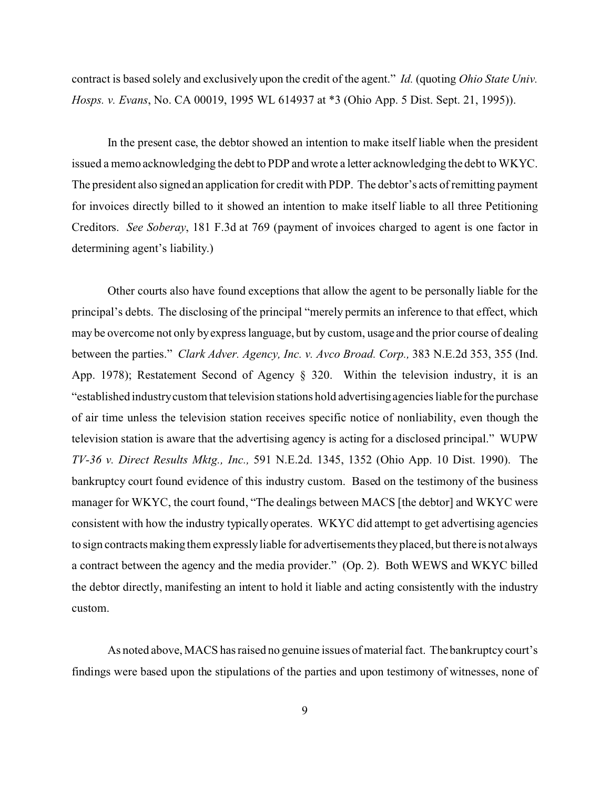contract is based solely and exclusively upon the credit of the agent." *Id.* (quoting *Ohio State Univ. Hosps. v. Evans*, No. CA 00019, 1995 WL 614937 at \*3 (Ohio App. 5 Dist. Sept. 21, 1995)).

In the present case, the debtor showed an intention to make itself liable when the president issued a memo acknowledging the debt to PDP and wrote a letter acknowledging the debt to WKYC. The president also signed an application for credit with PDP. The debtor's acts of remitting payment for invoices directly billed to it showed an intention to make itself liable to all three Petitioning Creditors. *See Soberay*, 181 F.3d at 769 (payment of invoices charged to agent is one factor in determining agent's liability.)

Other courts also have found exceptions that allow the agent to be personally liable for the principal's debts. The disclosing of the principal "merely permits an inference to that effect, which may be overcome not only by express language, but by custom, usage and the prior course of dealing between the parties." *Clark Adver. Agency, Inc. v. Avco Broad. Corp.,* 383 N.E.2d 353, 355 (Ind. App. 1978); Restatement Second of Agency § 320. Within the television industry, it is an "established industry custom that television stations hold advertising agencies liable for the purchase of air time unless the television station receives specific notice of nonliability, even though the television station is aware that the advertising agency is acting for a disclosed principal." WUPW *TV-36 v. Direct Results Mktg., Inc.,* 591 N.E.2d. 1345, 1352 (Ohio App. 10 Dist. 1990). The bankruptcy court found evidence of this industry custom. Based on the testimony of the business manager for WKYC, the court found, "The dealings between MACS [the debtor] and WKYC were consistent with how the industry typically operates. WKYC did attempt to get advertising agencies to sign contracts making them expressly liable for advertisements they placed, but there is not always a contract between the agency and the media provider." (Op. 2). Both WEWS and WKYC billed the debtor directly, manifesting an intent to hold it liable and acting consistently with the industry custom.

As noted above, MACS has raised no genuine issues of material fact. The bankruptcy court's findings were based upon the stipulations of the parties and upon testimony of witnesses, none of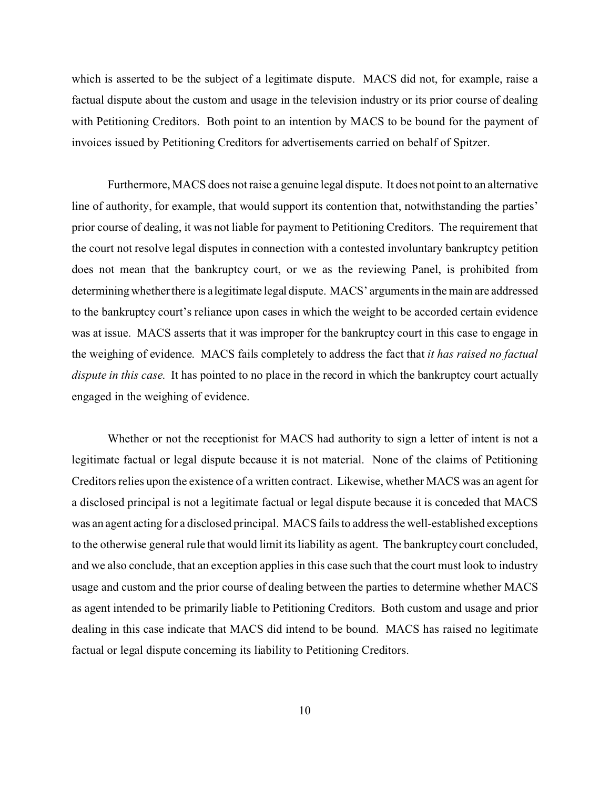which is asserted to be the subject of a legitimate dispute. MACS did not, for example, raise a factual dispute about the custom and usage in the television industry or its prior course of dealing with Petitioning Creditors. Both point to an intention by MACS to be bound for the payment of invoices issued by Petitioning Creditors for advertisements carried on behalf of Spitzer.

Furthermore, MACS does not raise a genuine legal dispute. It does not point to an alternative line of authority, for example, that would support its contention that, notwithstanding the parties' prior course of dealing, it was not liable for payment to Petitioning Creditors. The requirement that the court not resolve legal disputes in connection with a contested involuntary bankruptcy petition does not mean that the bankruptcy court, or we as the reviewing Panel, is prohibited from determining whether there is a legitimate legal dispute. MACS' arguments in the main are addressed to the bankruptcy court's reliance upon cases in which the weight to be accorded certain evidence was at issue. MACS asserts that it was improper for the bankruptcy court in this case to engage in the weighing of evidence. MACS fails completely to address the fact that *it has raised no factual dispute in this case*. It has pointed to no place in the record in which the bankruptcy court actually engaged in the weighing of evidence.

Whether or not the receptionist for MACS had authority to sign a letter of intent is not a legitimate factual or legal dispute because it is not material. None of the claims of Petitioning Creditors relies upon the existence of a written contract. Likewise, whether MACS was an agent for a disclosed principal is not a legitimate factual or legal dispute because it is conceded that MACS was an agent acting for a disclosed principal. MACS fails to address the well-established exceptions to the otherwise general rule that would limit its liability as agent. The bankruptcy court concluded, and we also conclude, that an exception applies in this case such that the court must look to industry usage and custom and the prior course of dealing between the parties to determine whether MACS as agent intended to be primarily liable to Petitioning Creditors. Both custom and usage and prior dealing in this case indicate that MACS did intend to be bound. MACS has raised no legitimate factual or legal dispute concerning its liability to Petitioning Creditors.